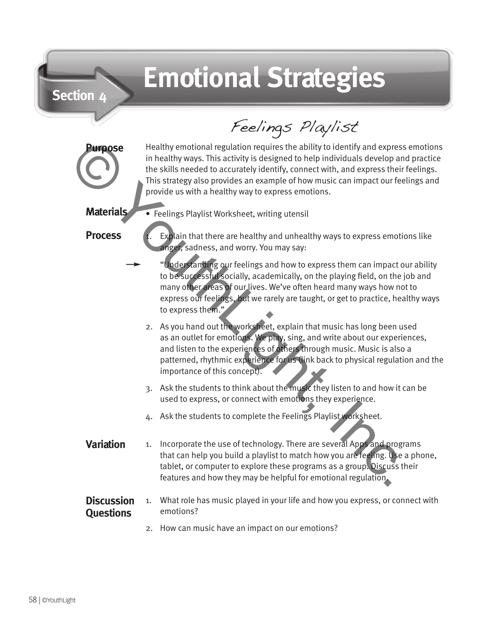## **Emotional Strategies**

Feelings Playlist

Healthy emotional regulation requires the ability to identify and express emotions in healthy ways. This activity is designed to help individuals develop and practice the skills needed to accurately identify, connect with, and express their feelings. This strategy also provides an example of how music can impact our feelings and provide us with a healthy way to express emotions.

**Materials**

**Purpose**

• Feelings Playlist Worksheet, writing utensil

**Process**

- Explain that there are healthy and unhealthy ways to express emotions like anger, sadness, and worry. You may say:
- "Understanding our feelings and how to express them can impact our ability to be successful socially, academically, on the playing field, on the job and many other areas of our lives. We've often heard many ways how not to express our feelings, but we rarely are taught, or get to practice, healthy ways to express them." Final and the mediatry was this satisfy is designed to help individuals develop a<br>
the skills needed to accurately identify, connect with, and express the<br>
This strategy also provides an example of how music can impact our
	- 2. As you hand out the worksheet, explain that music has long been used as an outlet for emotions. We play, sing, and write about our experiences, and listen to the experiences of others through music. Music is also a patterned, rhythmic experience for us (link back to physical regulation and the importance of this concept).
	- 3. Ask the students to think about the music they listen to and how it can be used to express, or connect with emotions they experience.
	- 4. Ask the students to complete the Feelings Playlist worksheet.
	- 1. Incorporate the use of technology. There are several Apps and programs that can help you build a playlist to match how you are feeling. Use a phone, tablet, or computer to explore these programs as a group. Discuss their features and how they may be helpful for emotional regulation. **Variation**

## 1. What role has music played in your life and how you express, or connect with emotions? **Discussion Questions**

2. How can music have an impact on our emotions?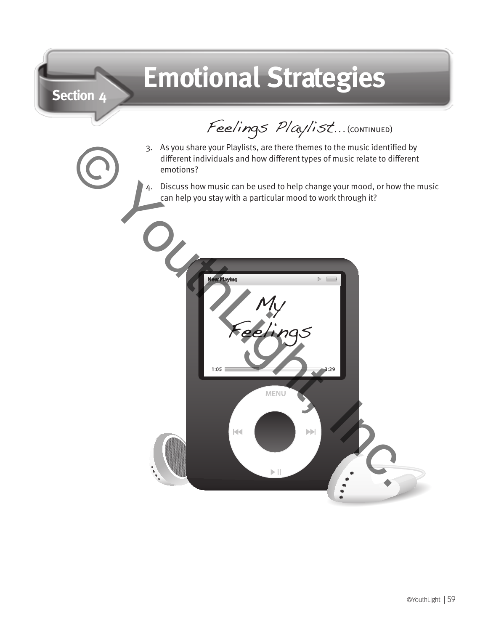## **Section 4 Emotional Strategies**

Feelings Playlist... (CONTINUED)

- 3. As you share your Playlists, are there themes to the music identified by different individuals and how different types of music relate to different emotions?
- 4. Discuss how music can be used to help change your mood, or how the music can help you stay with a particular mood to work through it?